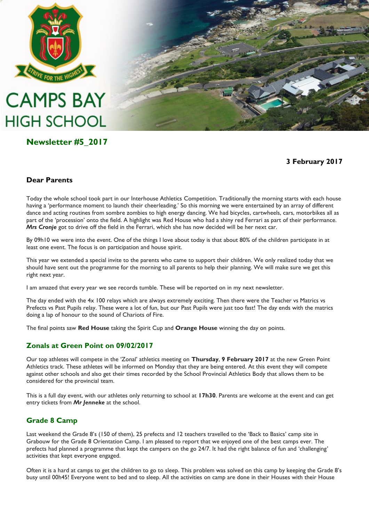

# **CAMPS BAY HIGH SCHOOL**

# **Newsletter #5\_2017**

**3 February 2017**

# **Dear Parents**

Today the whole school took part in our Interhouse Athletics Competition. Traditionally the morning starts with each house having a 'performance moment to launch their cheerleading.' So this morning we were entertained by an array of different dance and acting routines from sombre zombies to high energy dancing. We had bicycles, cartwheels, cars, motorbikes all as part of the 'procession' onto the field. A highlight was Red House who had a shiny red Ferrari as part of their performance. *Mrs Cronje* got to drive off the field in the Ferrari, which she has now decided will be her next car.

By 09h10 we were into the event. One of the things I love about today is that about 80% of the children participate in at least one event. The focus is on participation and house spirit.

This year we extended a special invite to the parents who came to support their children. We only realized today that we should have sent out the programme for the morning to all parents to help their planning. We will make sure we get this right next year.

I am amazed that every year we see records tumble. These will be reported on in my next newsletter.

The day ended with the 4x 100 relays which are always extremely exciting. Then there were the Teacher vs Matrics vs Prefects vs Past Pupils relay. These were a lot of fun, but our Past Pupils were just too fast! The day ends with the matrics doing a lap of honour to the sound of Chariots of Fire.

The final points saw **Red House** taking the Spirit Cup and **Orange House** winning the day on points.

# **Zonals at Green Point on 09/02/2017**

Our top athletes will compete in the 'Zonal' athletics meeting on **Thursday**, **9 February 2017** at the new Green Point Athletics track. These athletes will be informed on Monday that they are being entered. At this event they will compete against other schools and also get their times recorded by the School Provincial Athletics Body that allows them to be considered for the provincial team.

This is a full day event, with our athletes only returning to school at **17h30**. Parents are welcome at the event and can get entry tickets from *Mr Jenneke* at the school.

# **Grade 8 Camp**

Last weekend the Grade 8's (150 of them), 25 prefects and 12 teachers travelled to the 'Back to Basics' camp site in Grabouw for the Grade 8 Orientation Camp. I am pleased to report that we enjoyed one of the best camps ever. The prefects had planned a programme that kept the campers on the go 24/7. It had the right balance of fun and 'challenging' activities that kept everyone engaged.

Often it is a hard at camps to get the children to go to sleep. This problem was solved on this camp by keeping the Grade 8's busy until 00h45! Everyone went to bed and to sleep. All the activities on camp are done in their Houses with their House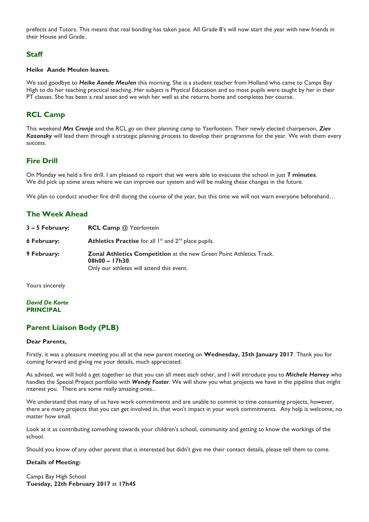prefects and Tutors. This means that real bonding has taken pace. All Grade 8's will now start the year with new friends in their House and Grade.

# **Staff**

#### **Heike Aande Meulen leaves.**

We said goodbye to *Heike Aande Meulen* this morning. She is a student teacher from Holland who came to Camps Bay High to do her teaching practical teaching. Her subject is Physical Education and so most pupils were taught by her in their PT classes. She has been a real asset and we wish her well as she returns home and completes her course.

# **RCL Camp**

This weekend *Mrs Cronje* and the RCL go on their planning camp to Yzerfontein. Their newly elected chairperson, *Ziev Kazansky* will lead them through a strategic planning process to develop their programme for the year. We wish them every success.

#### **Fire Drill**

On Monday we held a fire drill. I am pleased to report that we were able to evacuate the school in just **7 minutes**. We did pick up some areas where we can improve our system and will be making these changes in the future.

We plan to conduct another fire drill during the course of the year, but this time we will not warn everyone beforehand...

# **The Week Ahead**

| 3 – 5 February: | <b>RCL Camp @ Yzerfontein</b>                                                                                                              |
|-----------------|--------------------------------------------------------------------------------------------------------------------------------------------|
| 6 February:     | <b>Athletics Practise</b> for all $I^{st}$ and $2^{nd}$ place pupils.                                                                      |
| 9 February:     | <b>Zonal Athletics Competition at the new Green Point Athletics Track.</b><br>$08h00 - 17h30$<br>Only our athletes will attend this event. |

Yours sincerely

#### *David De Korte* **PRINCIPAL**

# **Parent Liaison Body (PLB)**

#### **Dear Parents,**

Firstly, it was a pleasure meeting you all at the new parent meeting on **Wednesday, 25th January 2017**. Thank you for coming forward and giving me your details, much appreciated.

As advised, we will hold a get together so that you can all meet each other, and I will introduce you to *Michele Harvey* who handles the Special Project portfolio with *Wendy Foster*. We will show you what projects we have in the pipeline that might interest you. There are some really amazing ones...

We understand that many of us have work commitments and are unable to commit to time consuming projects, however, there are many projects that you can get involved in, that won't impact in your work commitments. Any help is welcome, no matter how small.

Look at it as contributing something towards your children's school, community and getting to know the workings of the school.

Should you know of any other parent that is interested but didn't give me their contact details, please tell them to come.

#### **Details of Meeting:**

Camps Bay High School **Tuesday, 22th February 2017** at **17h45**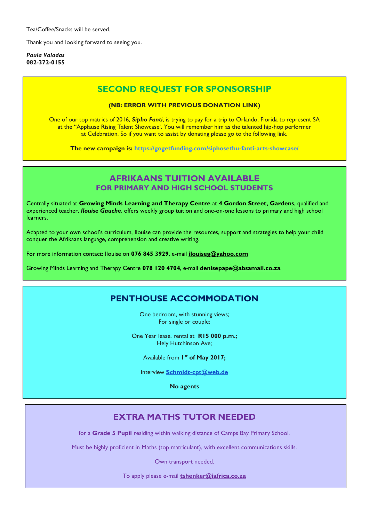Tea/Coffee/Snacks will be served.

Thank you and looking forward to seeing you.

*Paula Valadas* **082-372-0155**

# **SECOND REQUEST FOR SPONSORSHIP**

#### **(NB: ERROR WITH PREVIOUS DONATION LINK)**

One of our top matrics of 2016, *Sipho Fanti*, is trying to pay for a trip to Orlando, Florida to represent SA at the "Applause Rising Talent Showcase'. You will remember him as the talented hip-hop performer at Celebration. So if you want to assist by donating please go to the following link.

**The new campaign is: <https://gogetfunding.com/siphosethu-fanti-arts-showcase/>**

# **AFRIKAANS TUITION AVAILABLE FOR PRIMARY AND HIGH SCHOOL STUDENTS**

Centrally situated at **Growing Minds Learning and Therapy Centre** at **4 Gordon Street, Gardens**, qualified and experienced teacher, *Ilouise Gauche*, offers weekly group tuition and one-on-one lessons to primary and high school learners.

Adapted to your own school's curriculum, Ilouise can provide the resources, support and strategies to help your child conquer the Afrikaans language, comprehension and creative writing.

For more information contact: Ilouise on **076 845 3929**, e-mail **[ilouiseg@yahoo.com](mailto:ilouiseg@yahoo.com)**

Growing Minds Learning and Therapy Centre **078 120 4704**, e-mail **[denisepape@absamail.co.za](mailto:denisepape@absamail.co.za)**

# **PENTHOUSE ACCOMMODATION**

One bedroom, with stunning views; For single or couple;

One Year lease, rental at **R15 000 p.m.**; Hely Hutchinson Ave;

Available from **1 st of May 2017;**

Interview **[Schmidt-cpt@web.de](mailto:Schmidt-cpt@web.de)**

**No agents**

# **EXTRA MATHS TUTOR NEEDED**

for a **Grade 5 Pupil** residing within walking distance of Camps Bay Primary School.

Must be highly proficient in Maths (top matriculant), with excellent communications skills.

Own transport needed.

To apply please e-mail **[tshenker@iafrica.co.za](mailto:tshenker@iafrica.co.za)**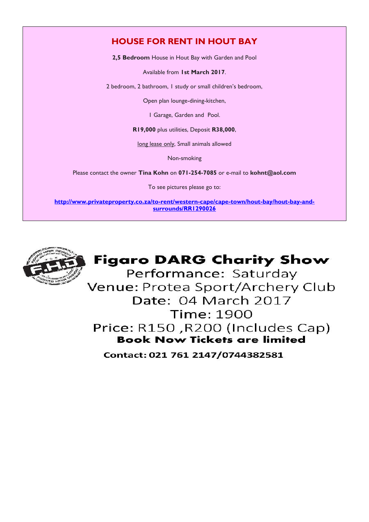# **HOUSE FOR RENT IN HOUT BAY**

**2,5 Bedroom** House in Hout Bay with Garden and Pool

Available from **1st March 2017**.

2 bedroom, 2 bathroom, 1 study or small children's bedroom,

Open plan lounge-dining-kitchen,

1 Garage, Garden and Pool.

**R19,000** plus utilities, Deposit **R38,000**,

long lease only, Small animals allowed

Non-smoking

Please contact the owner **Tina Kohn** on **071-254-7085** or e-mail to **[kohnt@aol.com](mailto:kohnt@aol.com)**

To see pictures please go to:

**[http://www.privateproperty.co.za/to-rent/western-cape/cape-town/hout-bay/hout-bay-and](http://www.privateproperty.co.za/to-rent/western-cape/cape-town/hout-bay/hout-bay-and-surrounds/RR1290026)[surrounds/RR1290026](http://www.privateproperty.co.za/to-rent/western-cape/cape-town/hout-bay/hout-bay-and-surrounds/RR1290026)**



# **Figaro DARG Charity Show**

Performance: Saturday Venue: Protea Sport/Archery Club Date: 04 March 2017 Time: 1900 Price: R150, R200 (Includes Cap) **Book Now Tickets are limited** 

Contact: 021 761 2147/0744382581